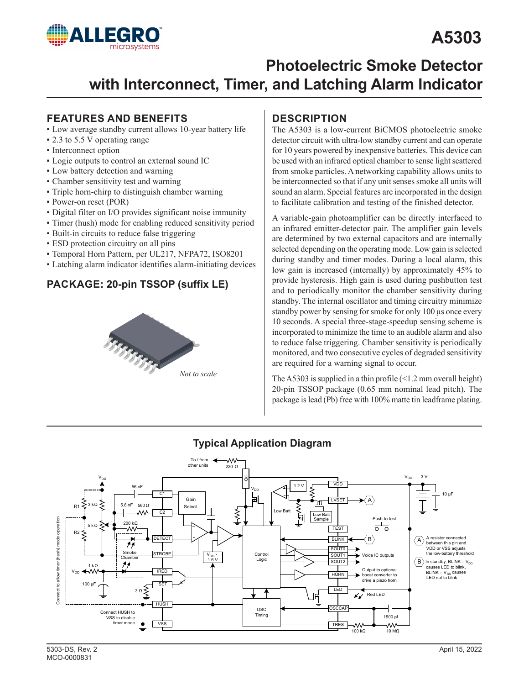# **A5303**



## **Photoelectric Smoke Detector with Interconnect, Timer, and Latching Alarm Indicator**

### **FEATURES AND BENEFITS**

- Low average standby current allows 10-year battery life
- 2.3 to 5.5 V operating range
- Interconnect option
- Logic outputs to control an external sound IC
- Low battery detection and warning
- Chamber sensitivity test and warning
- Triple horn-chirp to distinguish chamber warning
- Power-on reset (POR)
- Digital filter on I/O provides significant noise immunity
- Timer (hush) mode for enabling reduced sensitivity period
- Built-in circuits to reduce false triggering
- ESD protection circuitry on all pins
- Temporal Horn Pattern, per UL217, NFPA72, ISO8201
- Latching alarm indicator identifies alarm-initiating devices

#### **PACKAGE: 20-pin TSSOP (suffix LE)**



### **DESCRIPTION**

The A5303 is a low-current BiCMOS photoelectric smoke detector circuit with ultra-low standby current and can operate for 10 years powered by inexpensive batteries. This device can be used with an infrared optical chamber to sense light scattered from smoke particles. A networking capability allows units to be interconnected so that if any unit senses smoke all units will sound an alarm. Special features are incorporated in the design to facilitate calibration and testing of the finished detector.

A variable-gain photoamplifier can be directly interfaced to an infrared emitter-detector pair. The amplifier gain levels are determined by two external capacitors and are internally selected depending on the operating mode. Low gain is selected during standby and timer modes. During a local alarm, this low gain is increased (internally) by approximately 45% to provide hysteresis. High gain is used during pushbutton test and to periodically monitor the chamber sensitivity during standby. The internal oscillator and timing circuitry minimize standby power by sensing for smoke for only 100 μs once every 10 seconds. A special three-stage-speedup sensing scheme is incorporated to minimize the time to an audible alarm and also to reduce false triggering. Chamber sensitivity is periodically monitored, and two consecutive cycles of degraded sensitivity are required for a warning signal to occur.

The A5303 is supplied in a thin profile  $(1.2 \text{ mm}$  overall height) 20-pin TSSOP package (0.65 mm nominal lead pitch). The package is lead (Pb) free with 100% matte tin leadframe plating.

#### **Typical Application Diagram**

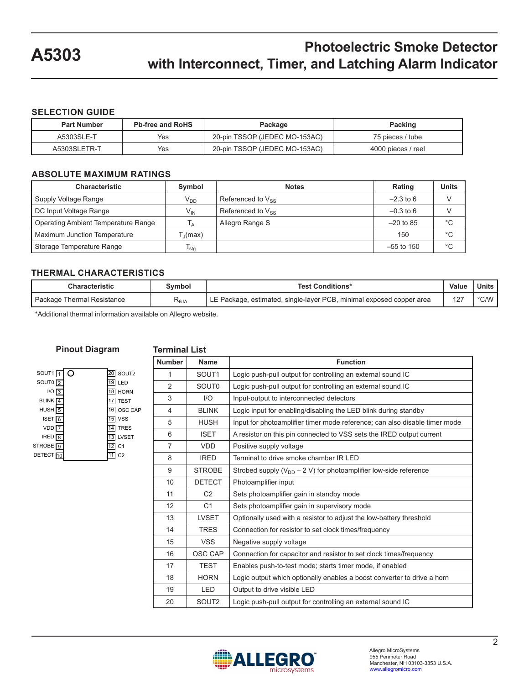#### **SELECTION GUIDE**

| <b>Part Number</b> | <b>Pb-free and RoHS</b> | Package                       | Packing            |
|--------------------|-------------------------|-------------------------------|--------------------|
| A5303SLE-T         | Yes                     | 20-pin TSSOP (JEDEC MO-153AC) | 75 pieces / tube   |
| A5303SLETR-T       | Yes                     | 20-pin TSSOP (JEDEC MO-153AC) | 4000 pieces / reel |

#### **ABSOLUTE MAXIMUM RATINGS**

| <b>Characteristic</b>               | Symbol           | <b>Notes</b>           | Rating       | <b>Units</b> |
|-------------------------------------|------------------|------------------------|--------------|--------------|
| Supply Voltage Range                | V <sub>DD</sub>  | Referenced to $V_{SS}$ | $-2.3$ to 6  |              |
| DC Input Voltage Range              | V <sub>IN</sub>  | Referenced to $V_{SS}$ | $-0.3$ to 6  |              |
| Operating Ambient Temperature Range | l <sub>A</sub>   | Allegro Range S        | $-20$ to 85  | $^{\circ}C$  |
| Maximum Junction Temperature        | T (max)          |                        | 150          | °C           |
| Storage Temperature Range           | <sup>I</sup> stg |                        | $-55$ to 150 | °C           |

#### **THERMAL CHARACTERISTICS**

| <b>Characteristic</b>        | Svmbol       | <b>Test Conditions*</b>                                              | Value | Units       |
|------------------------------|--------------|----------------------------------------------------------------------|-------|-------------|
| ' Package Thermal Resistance | <b>K</b> eja | LE Package, estimated, single-layer PCB, minimal exposed copper area | 127   | $\circ$ CAM |

\*Additional thermal information available on Allegro website.

#### **Pinout Diagram**

#### **Terminal List**

| SOUT <sub>1</sub>    |    | SOUT2          |
|----------------------|----|----------------|
| SOUTO <sub>2</sub>   | 19 | LED            |
| I/O                  |    | <b>HORN</b>    |
| <b>BLINK</b>         |    | <b>TEST</b>    |
| <b>HUSH</b>          |    | OSC CAP        |
| <b>ISET</b>          | 15 | <b>VSS</b>     |
| VDD                  |    | <b>TRES</b>    |
| <b>IRED</b>          |    | LVSET          |
| STROBE <sup>19</sup> |    | C <sub>1</sub> |
| <b>DETECT</b>        |    | C2             |
|                      |    |                |

| <b>Number</b>  | <b>Name</b>       | <b>Function</b>                                                            |
|----------------|-------------------|----------------------------------------------------------------------------|
| 1              | SOUT <sub>1</sub> | Logic push-pull output for controlling an external sound IC                |
| $\overline{2}$ | SOUT <sub>0</sub> | Logic push-pull output for controlling an external sound IC                |
| 3              | I/O               | Input-output to interconnected detectors                                   |
| 4              | <b>BLINK</b>      | Logic input for enabling/disabling the LED blink during standby            |
| 5              | <b>HUSH</b>       | Input for photoamplifier timer mode reference; can also disable timer mode |
| 6              | <b>ISET</b>       | A resistor on this pin connected to VSS sets the IRED output current       |
| $\overline{7}$ | <b>VDD</b>        | Positive supply voltage                                                    |
| 8              | <b>IRED</b>       | Terminal to drive smoke chamber IR LED                                     |
| 9              | <b>STROBE</b>     | Strobed supply $(V_{DD} - 2 V)$ for photoamplifier low-side reference      |
| 10             | <b>DETECT</b>     | Photoamplifier input                                                       |
| 11             | C <sub>2</sub>    | Sets photoamplifier gain in standby mode                                   |
| 12             | C <sub>1</sub>    | Sets photoamplifier gain in supervisory mode                               |
| 13             | <b>LVSET</b>      | Optionally used with a resistor to adjust the low-battery threshold        |
| 14             | <b>TRES</b>       | Connection for resistor to set clock times/frequency                       |
| 15             | <b>VSS</b>        | Negative supply voltage                                                    |
| 16             | OSC CAP           | Connection for capacitor and resistor to set clock times/frequency         |
| 17             | <b>TEST</b>       | Enables push-to-test mode; starts timer mode, if enabled                   |
| 18             | <b>HORN</b>       | Logic output which optionally enables a boost converter to drive a horn    |
| 19             | <b>LED</b>        | Output to drive visible LED                                                |
| 20             | SOUT <sub>2</sub> | Logic push-pull output for controlling an external sound IC                |

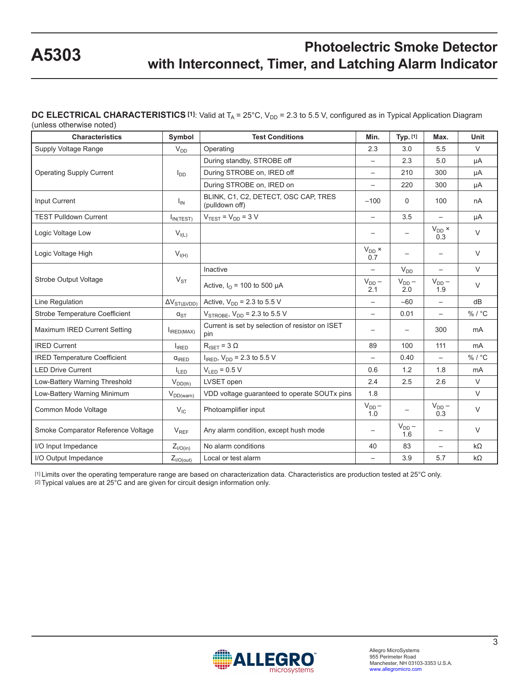#### **DC ELECTRICAL CHARACTERISTICS [1]**: Valid at T<sub>A</sub> = 25°C, V<sub>DD</sub> = 2.3 to 5.5 V, configured as in Typical Application Diagram (unless otherwise noted)

| <b>Characteristics</b>              | Symbol                                | <b>Test Conditions</b>                                 | Min.                     | Typ. [1]          | Max.                     | Unit      |
|-------------------------------------|---------------------------------------|--------------------------------------------------------|--------------------------|-------------------|--------------------------|-----------|
| Supply Voltage Range                | $V_{DD}$                              | Operating                                              | 2.3                      | 3.0               | 5.5                      | $\vee$    |
|                                     |                                       | During standby, STROBE off                             |                          | 2.3               | 5.0                      | μA        |
| <b>Operating Supply Current</b>     | $I_{DD}$                              | During STROBE on, IRED off                             |                          | 210               | 300                      | μA        |
|                                     |                                       | During STROBE on, IRED on                              | $\overline{\phantom{m}}$ | 220               | 300                      | μA        |
| Input Current                       | $I_{IN}$                              | BLINK, C1, C2, DETECT, OSC CAP, TRES<br>(pulldown off) | $-100$                   | $\Omega$          | 100                      | nA        |
| <b>TEST Pulldown Current</b>        | $I_{IN(TEST)}$                        | $VTEST = VDD = 3 V$                                    |                          | 3.5               |                          | μA        |
| Logic Voltage Low                   | $\mathsf{V}_{\mathsf{I}(\mathsf{L})}$ |                                                        |                          |                   | $V_{DD}$ $\times$<br>0.3 | $\vee$    |
| Logic Voltage High                  | $V_{I(H)}$                            |                                                        | $V_{DD}$ ×<br>0.7        |                   |                          | $\vee$    |
|                                     |                                       | Inactive                                               | $\qquad \qquad -$        | $V_{DD}$          | $\overline{\phantom{0}}$ | $\vee$    |
| <b>Strobe Output Voltage</b>        | $V_{ST}$                              | Active, $I_{\Omega}$ = 100 to 500 µA                   | $V_{DD}$ –<br>2.1        | $V_{DD}$ –<br>2.0 | $V_{DD}$ –<br>1.9        | $\vee$    |
| Line Regulation                     | $\Delta V_{ST(\Delta VDD)}$           | Active, $V_{DD}$ = 2.3 to 5.5 V                        | $\overline{\phantom{m}}$ | $-60$             | $\overline{\phantom{0}}$ | dB        |
| Strobe Temperature Coefficient      | $\alpha_{ST}$                         | $V_{STROBE}$ , $V_{DD}$ = 2.3 to 5.5 V                 | $\overline{\phantom{0}}$ | 0.01              | $\overline{\phantom{0}}$ | %/°C      |
| Maximum IRED Current Setting        | $I_{IRED(MAX)}$                       | Current is set by selection of resistor on ISET<br>pin |                          |                   | 300                      | mA        |
| <b>IRED Current</b>                 | $I_{\text{IRED}}$                     | $R_{\text{ISET}} = 3 \Omega$                           | 89                       | 100               | 111                      | mA        |
| <b>IRED Temperature Coefficient</b> | $\alpha$ <sub>IRED</sub>              | $I_{IRED}$ , $V_{DD} = 2.3$ to 5.5 V                   |                          | 0.40              | $\overline{\phantom{0}}$ | %/°C      |
| <b>LED Drive Current</b>            | $I_{LED}$                             | $V_{\text{LED}} = 0.5 V$                               | 0.6                      | 1.2               | 1.8                      | mA        |
| Low-Battery Warning Threshold       | $V_{DD(th)}$                          | LVSET open                                             | 2.4                      | 2.5               | 2.6                      | $\vee$    |
| Low-Battery Warning Minimum         | $V_{DD(warn)}$                        | VDD voltage guaranteed to operate SOUTx pins           | 1.8                      |                   |                          | $\vee$    |
| Common Mode Voltage                 | $V_{IC}$                              | Photoamplifier input                                   | $V_{DD}$ –<br>1.0        |                   | $V_{DD}$ –<br>0.3        | $\vee$    |
| Smoke Comparator Reference Voltage  | $V_{REF}$                             | Any alarm condition, except hush mode                  |                          | $V_{DD}$ –<br>1.6 |                          | $\vee$    |
| I/O Input Impedance                 | $Z_{\textit{I/O(in)}}$                | No alarm conditions                                    | 40                       | 83                | $\qquad \qquad -$        | $k\Omega$ |
| I/O Output Impedance                | $Z_{I/O(out)}$                        | Local or test alarm                                    |                          | 3.9               | 5.7                      | $k\Omega$ |

[1] Limits over the operating temperature range are based on characterization data. Characteristics are production tested at 25°C only. [2] Typical values are at 25°C and are given for circuit design information only.

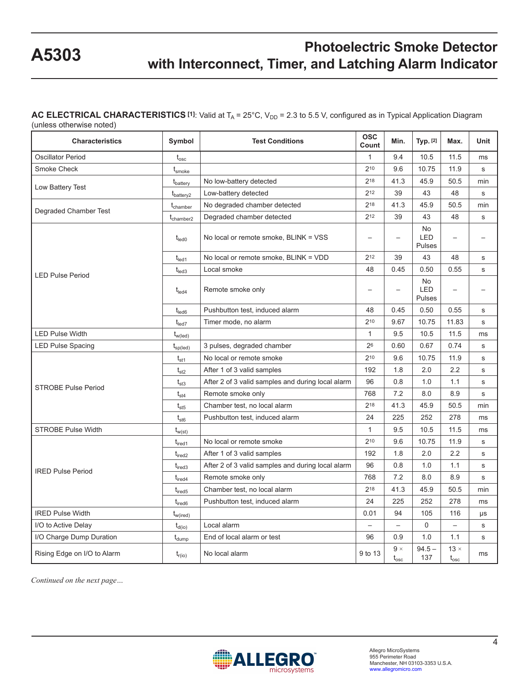#### AC ELECTRICAL CHARACTERISTICS [1]: Valid at T<sub>A</sub> = 25°C, V<sub>DD</sub> = 2.3 to 5.5 V, configured as in Typical Application Diagram

(unless otherwise noted)

| <b>Characteristics</b>      | Symbol                           | <b>Test Conditions</b><br>Count                   |              | Min.                            | Typ. [2]                   | Max.                         | Unit                     |
|-----------------------------|----------------------------------|---------------------------------------------------|--------------|---------------------------------|----------------------------|------------------------------|--------------------------|
| <b>Oscillator Period</b>    | $t_{\rm osc}$                    |                                                   | $\mathbf{1}$ | 9.4                             | 10.5                       | 11.5                         | ms                       |
| <b>Smoke Check</b>          | $t_{\text{smoke}}$               |                                                   | 210          | 9.6                             | 10.75                      | 11.9                         | s                        |
|                             | t <sub>battery</sub>             | No low-battery detected                           | 218          | 41.3                            | 45.9                       | 50.5                         | min                      |
| Low Battery Test            | $t_{\text{battery2}}$            | Low-battery detected                              | 212          | 39                              | 43                         | 48                           | s                        |
|                             | t <sub>chamber</sub>             | No degraded chamber detected                      | 218          | 41.3                            | 45.9                       | 50.5                         | min                      |
| Degraded Chamber Test       | $\mathsf{t}_{\mathsf{chamber2}}$ | Degraded chamber detected                         | 212          | 39                              | 43                         | 48                           | s                        |
|                             | $t_{\text{led}}$                 | No local or remote smoke, BLINK = VSS             |              |                                 | No<br><b>LED</b><br>Pulses | $\overline{\phantom{0}}$     | $\overline{\phantom{0}}$ |
|                             | $t_{\rm led1}$                   | No local or remote smoke, BLINK = VDD             | 212          | 39                              | 43                         | 48                           | s                        |
| <b>LED Pulse Period</b>     | $t_{\text{led}}$                 | Local smoke                                       | 48           | 0.45                            | 0.50                       | 0.55                         | s                        |
|                             | $t_{\text{led}}$                 | Remote smoke only                                 |              | $\overline{\phantom{0}}$        | No<br><b>LED</b><br>Pulses |                              | $\overline{\phantom{0}}$ |
|                             | $t_{\sf led6}$                   | Pushbutton test, induced alarm                    | 48           | 0.45                            | 0.50                       | 0.55                         | s                        |
|                             | $t_{\text{led}7}$                | Timer mode, no alarm                              | 210          | 9.67                            | 10.75                      | 11.83                        | s                        |
| <b>LED Pulse Width</b>      | $t_{w(\text{led})}$              |                                                   | $\mathbf{1}$ | 9.5                             | 10.5                       | 11.5                         | ms                       |
| <b>LED Pulse Spacing</b>    | $t_{sp(led)}$                    | 3 pulses, degraded chamber                        | 26           | 0.60                            | 0.67                       | 0.74                         | s                        |
|                             | $t_{st1}$                        | No local or remote smoke                          | 210          | 9.6                             | 10.75                      | 11.9                         | s                        |
| $t_{st2}$                   |                                  | After 1 of 3 valid samples                        | 192          | 1.8                             | 2.0                        | 2.2                          | s                        |
| <b>STROBE Pulse Period</b>  | $t_{st3}$                        | After 2 of 3 valid samples and during local alarm | 96           | 0.8                             | 1.0                        | 1.1                          | s                        |
|                             | $\mathsf{t}_{\mathsf{st4}}$      | Remote smoke only                                 | 768          | 7.2                             | 8.0                        | 8.9                          | s                        |
|                             | $t_{\rm st5}$                    | Chamber test, no local alarm                      | 218          | 41.3                            | 45.9                       | 50.5                         | min                      |
|                             | $t_{\rm st6}$                    | Pushbutton test, induced alarm                    | 24           | 225                             | 252                        | 278                          | ms                       |
| <b>STROBE Pulse Width</b>   | $t_{w(st)}$                      |                                                   | $\mathbf{1}$ | 9.5                             | 10.5                       | 11.5                         | ms                       |
|                             | $t_{\text{ired1}}$               | No local or remote smoke                          | 210          | 9.6                             | 10.75                      | 11.9                         | s                        |
|                             | $t_{\text{ired2}}$               | After 1 of 3 valid samples                        | 192          | 1.8                             | 2.0                        | 2.2                          | s                        |
| <b>IRED Pulse Period</b>    | $t_{\text{ired3}}$               | After 2 of 3 valid samples and during local alarm | 96           | 0.8                             | 1.0                        | 1.1                          | s                        |
|                             | $t_{\rm{ired4}}$                 | Remote smoke only                                 | 768          | 7.2                             | 8.0                        | 8.9                          | s                        |
|                             | $t_{\text{ired}5}$               | Chamber test, no local alarm                      | 218          | 41.3                            | 45.9                       | 50.5                         | min                      |
|                             | $t_{\text{ired}6}$               | Pushbutton test, induced alarm                    | 24           | 225                             | 252                        | 278                          | ms                       |
| <b>IRED Pulse Width</b>     | $t_{w(ired)}$                    |                                                   | 0.01         | 94                              | 105                        | 116                          | μs                       |
| I/O to Active Delay         | $t_{d(io)}$                      | Local alarm                                       |              | $\overline{\phantom{0}}$        | $\mathbf 0$                | $\overline{\phantom{0}}$     | s                        |
| I/O Charge Dump Duration    | $t_{\text{dump}}$                | End of local alarm or test                        | 96           | 0.9                             | 1.0                        | 1.1                          | s                        |
| Rising Edge on I/O to Alarm | $t_{r(io)}$                      | No local alarm                                    | 9 to 13      | $9 \times$<br>$\rm t_{\rm osc}$ | $94.5 -$<br>137            | $13 \times$<br>$t_{\rm osc}$ | ms                       |

*Continued on the next page…*

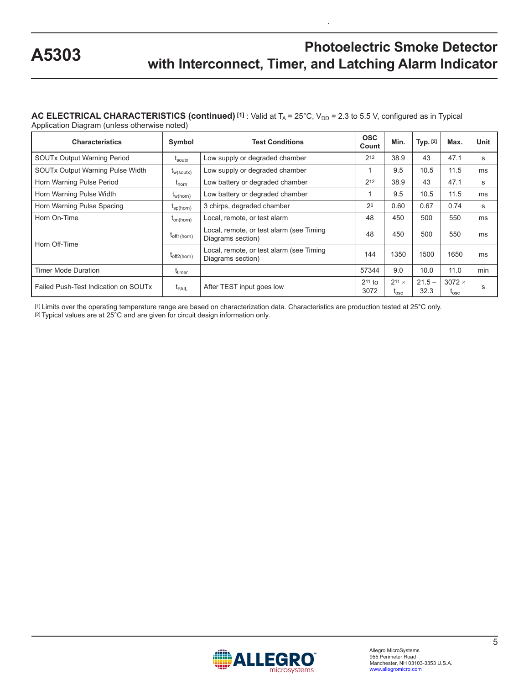### AC ELECTRICAL CHARACTERISTICS (continued) <sup>[1]</sup> : Valid at T<sub>A</sub> = 25°C, V<sub>DD</sub> = 2.3 to 5.5 V, configured as in Typical

Application Diagram (unless otherwise noted)

| <b>Characteristics</b>                  | Symbol                | <b>Test Conditions</b>                                        | <b>OSC</b><br>Count | Min.                          | Typ. [2]         | Max.                           | Unit |
|-----------------------------------------|-----------------------|---------------------------------------------------------------|---------------------|-------------------------------|------------------|--------------------------------|------|
| <b>SOUTx Output Warning Period</b>      | $I_{\text{soutx}}$    | Low supply or degraded chamber                                | $2^{12}$            | 38.9                          | 43               | 47.1                           | s    |
| <b>SOUTx Output Warning Pulse Width</b> | $I_{w(\text{soutx})}$ | Low supply or degraded chamber                                |                     | 9.5                           | 10.5             | 11.5                           | ms   |
| Horn Warning Pulse Period               | $t_{\text{horn}}$     | Low battery or degraded chamber                               | 212                 | 38.9                          | 43               | 47.1                           | s    |
| Horn Warning Pulse Width                | $t_{w(horn)}$         | Low battery or degraded chamber                               |                     | 9.5                           | 10.5             | 11.5                           | ms   |
| Horn Warning Pulse Spacing              | $I_{\text{sp(horn)}}$ | 3 chirps, degraded chamber                                    | 26                  | 0.60                          | 0.67             | 0.74                           | s    |
| Horn On-Time                            | $I_{on(horn)}$        | Local, remote, or test alarm                                  | 48                  | 450                           | 500              | 550                            | ms   |
|                                         | $t_{off1(horn)}$      | Local, remote, or test alarm (see Timing<br>Diagrams section) | 48                  | 450                           | 500              | 550                            | ms   |
| Horn Off-Time<br>$t_{off2(horn)}$       |                       | Local, remote, or test alarm (see Timing<br>Diagrams section) | 144                 | 1350                          | 1500             | 1650                           | ms   |
| <b>Timer Mode Duration</b>              | t <sub>timer</sub>    |                                                               | 57344               | 9.0                           | 10.0             | 11.0                           | min  |
| Failed Push-Test Indication on SOUTx    | $t_{FAIL}$            | After TEST input goes low                                     | $211$ to<br>3072    | $211 \times$<br>$t_{\rm osc}$ | $21.5 -$<br>32.3 | $3072 \times$<br>$I_{\rm osc}$ | S    |

[1] Limits over the operating temperature range are based on characterization data. Characteristics are production tested at 25°C only. [2] Typical values are at 25°C and are given for circuit design information only.

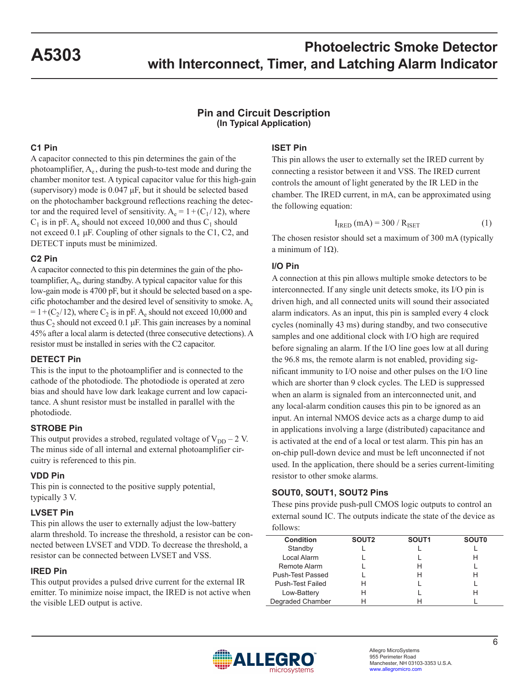#### **Pin and Circuit Description (In Typical Application)**

#### **C1 Pin**

A capacitor connected to this pin determines the gain of the photoamplifier,  $A_e$ , during the push-to-test mode and during the chamber monitor test. A typical capacitor value for this high-gain (supervisory) mode is 0.047 μF, but it should be selected based on the photochamber background reflections reaching the detector and the required level of sensitivity.  $A_e = 1 + (C_1 / 12)$ , where  $C_1$  is in pF. A<sub>e</sub> should not exceed 10,000 and thus  $C_1$  should not exceed 0.1 μF. Coupling of other signals to the C1, C2, and DETECT inputs must be minimized.

#### **C2 Pin**

A capacitor connected to this pin determines the gain of the photoamplifier,  $A_{e}$ , during standby. A typical capacitor value for this low-gain mode is 4700 pF, but it should be selected based on a specific photochamber and the desired level of sensitivity to smoke.  $A_{\rm e}$  $= 1+(C_2/12)$ , where  $C_2$  is in pF. A<sub>e</sub> should not exceed 10,000 and thus  $C_2$  should not exceed 0.1 μF. This gain increases by a nominal 45% after a local alarm is detected (three consecutive detections). A resistor must be installed in series with the C2 capacitor.

#### **DETECT Pin**

This is the input to the photoamplifier and is connected to the cathode of the photodiode. The photodiode is operated at zero bias and should have low dark leakage current and low capacitance. A shunt resistor must be installed in parallel with the photodiode.

#### **STROBE Pin**

This output provides a strobed, regulated voltage of  $V_{DD} - 2$  V. The minus side of all internal and external photoamplifier circuitry is referenced to this pin.

#### **VDD Pin**

This pin is connected to the positive supply potential, typically 3 V.

#### **LVSET Pin**

This pin allows the user to externally adjust the low-battery alarm threshold. To increase the threshold, a resistor can be connected between LVSET and VDD. To decrease the threshold, a resistor can be connected between LVSET and VSS.

#### **IRED Pin**

This output provides a pulsed drive current for the external IR emitter. To minimize noise impact, the IRED is not active when the visible LED output is active.

#### **ISET Pin**

This pin allows the user to externally set the IRED current by connecting a resistor between it and VSS. The IRED current controls the amount of light generated by the IR LED in the chamber. The IRED current, in mA, can be approximated using the following equation:

$$
I_{\text{IRED}}\left(\text{mA}\right) = 300 / R_{\text{ISET}}\tag{1}
$$

The chosen resistor should set a maximum of 300 mA (typically a minimum of 1Ω).

#### **I/O Pin**

A connection at this pin allows multiple smoke detectors to be interconnected. If any single unit detects smoke, its I/O pin is driven high, and all connected units will sound their associated alarm indicators. As an input, this pin is sampled every 4 clock cycles (nominally 43 ms) during standby, and two consecutive samples and one additional clock with I/O high are required before signaling an alarm. If the I/O line goes low at all during the 96.8 ms, the remote alarm is not enabled, providing significant immunity to I/O noise and other pulses on the I/O line which are shorter than 9 clock cycles. The LED is suppressed when an alarm is signaled from an interconnected unit, and any local-alarm condition causes this pin to be ignored as an input. An internal NMOS device acts as a charge dump to aid in applications involving a large (distributed) capacitance and is activated at the end of a local or test alarm. This pin has an on-chip pull-down device and must be left unconnected if not used. In the application, there should be a series current-limiting resistor to other smoke alarms.

#### **SOUT0, SOUT1, SOUT2 Pins**

These pins provide push-pull CMOS logic outputs to control an external sound IC. The outputs indicate the state of the device as follows:

| <b>Condition</b>        | SOUT <sub>2</sub> | SOUT <sub>1</sub> | <b>SOUTO</b> |
|-------------------------|-------------------|-------------------|--------------|
| Standby                 |                   |                   |              |
| Local Alarm             |                   |                   | н            |
| Remote Alarm            |                   | н                 |              |
| Push-Test Passed        |                   | н                 | н            |
| <b>Push-Test Failed</b> | н                 |                   |              |
| Low-Battery             | н                 |                   |              |
| Degraded Chamber        |                   |                   |              |

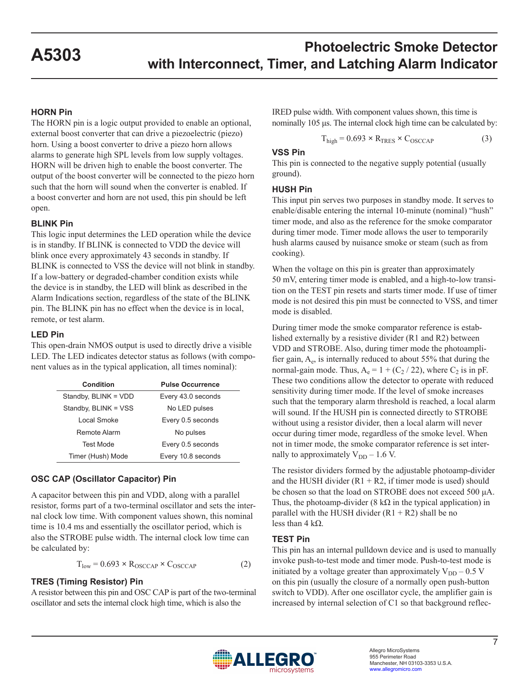#### **HORN Pin**

The HORN pin is a logic output provided to enable an optional, external boost converter that can drive a piezoelectric (piezo) horn. Using a boost converter to drive a piezo horn allows alarms to generate high SPL levels from low supply voltages. HORN will be driven high to enable the boost converter. The output of the boost converter will be connected to the piezo horn such that the horn will sound when the converter is enabled. If a boost converter and horn are not used, this pin should be left open.

#### **BLINK Pin**

This logic input determines the LED operation while the device is in standby. If BLINK is connected to VDD the device will blink once every approximately 43 seconds in standby. If BLINK is connected to VSS the device will not blink in standby. If a low-battery or degraded-chamber condition exists while the device is in standby, the LED will blink as described in the Alarm Indications section, regardless of the state of the BLINK pin. The BLINK pin has no effect when the device is in local, remote, or test alarm.

#### **LED Pin**

This open-drain NMOS output is used to directly drive a visible LED. The LED indicates detector status as follows (with component values as in the typical application, all times nominal):

| <b>Condition</b>     | <b>Pulse Occurrence</b> |
|----------------------|-------------------------|
| Standby, BLINK = VDD | Every 43.0 seconds      |
| Standby, BLINK = VSS | No LED pulses           |
| Local Smoke          | Every 0.5 seconds       |
| Remote Alarm         | No pulses               |
| Test Mode            | Every 0.5 seconds       |
| Timer (Hush) Mode    | Every 10.8 seconds      |

#### **OSC CAP (Oscillator Capacitor) Pin**

A capacitor between this pin and VDD, along with a parallel resistor, forms part of a two-terminal oscillator and sets the internal clock low time. With component values shown, this nominal time is 10.4 ms and essentially the oscillator period, which is also the STROBE pulse width. The internal clock low time can be calculated by:

$$
T_{low} = 0.693 \times R_{OSCCAP} \times C_{OSCCAP}
$$
 (2)

#### **TRES (Timing Resistor) Pin**

A resistor between this pin and OSC CAP is part of the two-terminal oscillator and sets the internal clock high time, which is also the

IRED pulse width. With component values shown, this time is nominally 105 μs. The internal clock high time can be calculated by:

$$
T_{\text{high}} = 0.693 \times R_{\text{TRES}} \times C_{\text{OSCCAP}} \tag{3}
$$

#### **VSS Pin**

This pin is connected to the negative supply potential (usually ground).

#### **HUSH Pin**

This input pin serves two purposes in standby mode. It serves to enable/disable entering the internal 10-minute (nominal) "hush" timer mode, and also as the reference for the smoke comparator during timer mode. Timer mode allows the user to temporarily hush alarms caused by nuisance smoke or steam (such as from cooking).

When the voltage on this pin is greater than approximately 50 mV, entering timer mode is enabled, and a high-to-low transition on the TEST pin resets and starts timer mode. If use of timer mode is not desired this pin must be connected to VSS, and timer mode is disabled.

During timer mode the smoke comparator reference is established externally by a resistive divider (R1 and R2) between VDD and STROBE. Also, during timer mode the photoamplifier gain,  $A_e$ , is internally reduced to about 55% that during the normal-gain mode. Thus,  $A_e = 1 + (C_2 / 22)$ , where  $C_2$  is in pF. These two conditions allow the detector to operate with reduced sensitivity during timer mode. If the level of smoke increases such that the temporary alarm threshold is reached, a local alarm will sound. If the HUSH pin is connected directly to STROBE without using a resistor divider, then a local alarm will never occur during timer mode, regardless of the smoke level. When not in timer mode, the smoke comparator reference is set internally to approximately  $V_{DD}$  – 1.6 V.

The resistor dividers formed by the adjustable photoamp-divider and the HUSH divider  $(R1 + R2)$ , if timer mode is used) should be chosen so that the load on STROBE does not exceed 500 μA. Thus, the photoamp-divider (8 k $\Omega$  in the typical application) in parallel with the HUSH divider  $(R1 + R2)$  shall be no less than 4 kΩ.

#### **TEST Pin**

This pin has an internal pulldown device and is used to manually invoke push-to-test mode and timer mode. Push-to-test mode is initiated by a voltage greater than approximately  $V_{DD}$  – 0.5 V on this pin (usually the closure of a normally open push-button switch to VDD). After one oscillator cycle, the amplifier gain is increased by internal selection of C1 so that background reflec-

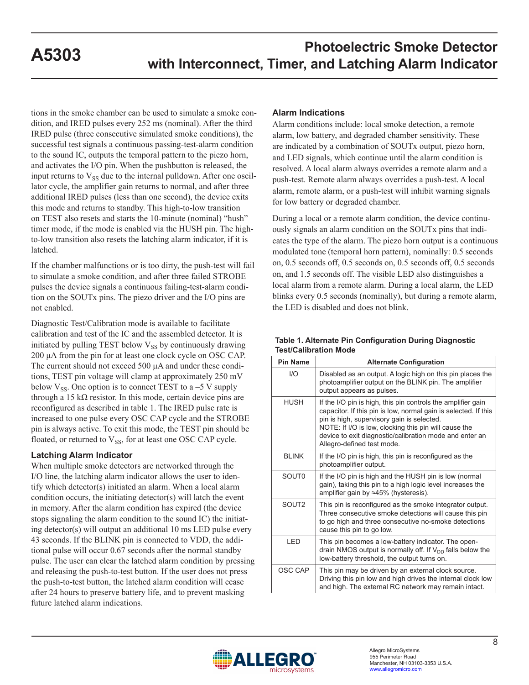tions in the smoke chamber can be used to simulate a smoke condition, and IRED pulses every 252 ms (nominal). After the third IRED pulse (three consecutive simulated smoke conditions), the successful test signals a continuous passing-test-alarm condition to the sound IC, outputs the temporal pattern to the piezo horn, and activates the I/O pin. When the pushbutton is released, the input returns to  $V_{SS}$  due to the internal pulldown. After one oscillator cycle, the amplifier gain returns to normal, and after three additional IRED pulses (less than one second), the device exits this mode and returns to standby. This high-to-low transition on TEST also resets and starts the 10-minute (nominal) "hush" timer mode, if the mode is enabled via the HUSH pin. The highto-low transition also resets the latching alarm indicator, if it is latched.

If the chamber malfunctions or is too dirty, the push-test will fail to simulate a smoke condition, and after three failed STROBE pulses the device signals a continuous failing-test-alarm condition on the SOUTx pins. The piezo driver and the I/O pins are not enabled.

Diagnostic Test/Calibration mode is available to facilitate calibration and test of the IC and the assembled detector. It is initiated by pulling TEST below  $V_{SS}$  by continuously drawing 200 μA from the pin for at least one clock cycle on OSC CAP. The current should not exceed 500 μA and under these conditions, TEST pin voltage will clamp at approximately 250 mV below  $V_{SS}$ . One option is to connect TEST to a -5 V supply through a 15 k $\Omega$  resistor. In this mode, certain device pins are reconfigured as described in table 1. The IRED pulse rate is increased to one pulse every OSC CAP cycle and the STROBE pin is always active. To exit this mode, the TEST pin should be floated, or returned to  $V_{SS}$ , for at least one OSC CAP cycle.

#### **Latching Alarm Indicator**

When multiple smoke detectors are networked through the I/O line, the latching alarm indicator allows the user to identify which detector(s) initiated an alarm. When a local alarm condition occurs, the initiating detector(s) will latch the event in memory. After the alarm condition has expired (the device stops signaling the alarm condition to the sound IC) the initiating detector(s) will output an additional 10 ms LED pulse every 43 seconds. If the BLINK pin is connected to VDD, the additional pulse will occur 0.67 seconds after the normal standby pulse. The user can clear the latched alarm condition by pressing and releasing the push-to-test button. If the user does not press the push-to-test button, the latched alarm condition will cease after 24 hours to preserve battery life, and to prevent masking future latched alarm indications.

#### **Alarm Indications**

Alarm conditions include: local smoke detection, a remote alarm, low battery, and degraded chamber sensitivity. These are indicated by a combination of SOUTx output, piezo horn, and LED signals, which continue until the alarm condition is resolved. A local alarm always overrides a remote alarm and a push-test. Remote alarm always overrides a push-test. A local alarm, remote alarm, or a push-test will inhibit warning signals for low battery or degraded chamber.

During a local or a remote alarm condition, the device continuously signals an alarm condition on the SOUTx pins that indicates the type of the alarm. The piezo horn output is a continuous modulated tone (temporal horn pattern), nominally: 0.5 seconds on, 0.5 seconds off, 0.5 seconds on, 0.5 seconds off, 0.5 seconds on, and 1.5 seconds off. The visible LED also distinguishes a local alarm from a remote alarm. During a local alarm, the LED blinks every 0.5 seconds (nominally), but during a remote alarm, the LED is disabled and does not blink.

#### **Table 1. Alternate Pin Configuration During Diagnostic Test/Calibration Mode**

| <b>Pin Name</b>   | <b>Alternate Configuration</b>                                                                                                                                                                                                                                                                                                  |
|-------------------|---------------------------------------------------------------------------------------------------------------------------------------------------------------------------------------------------------------------------------------------------------------------------------------------------------------------------------|
| 1/O               | Disabled as an output. A logic high on this pin places the<br>photoamplifier output on the BLINK pin. The amplifier<br>output appears as pulses.                                                                                                                                                                                |
| <b>HUSH</b>       | If the I/O pin is high, this pin controls the amplifier gain<br>capacitor. If this pin is low, normal gain is selected. If this<br>pin is high, supervisory gain is selected.<br>NOTE: If I/O is low, clocking this pin will cause the<br>device to exit diagnostic/calibration mode and enter an<br>Allegro-defined test mode. |
| <b>BLINK</b>      | If the I/O pin is high, this pin is reconfigured as the<br>photoamplifier output.                                                                                                                                                                                                                                               |
| SOUT <sub>0</sub> | If the I/O pin is high and the HUSH pin is low (normal<br>gain), taking this pin to a high logic level increases the<br>amplifier gain by ≈45% (hysteresis).                                                                                                                                                                    |
| SOUT <sub>2</sub> | This pin is reconfigured as the smoke integrator output.<br>Three consecutive smoke detections will cause this pin<br>to go high and three consecutive no-smoke detections<br>cause this pin to go low.                                                                                                                         |
| LED               | This pin becomes a low-battery indicator. The open-<br>drain NMOS output is normally off. If $V_{DD}$ falls below the<br>low-battery threshold, the output turns on.                                                                                                                                                            |
| OSC CAP           | This pin may be driven by an external clock source.<br>Driving this pin low and high drives the internal clock low<br>and high. The external RC network may remain intact.                                                                                                                                                      |

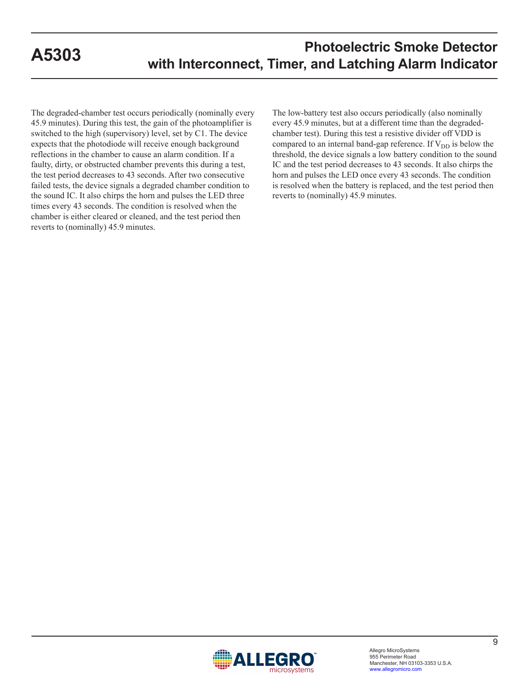The degraded-chamber test occurs periodically (nominally every 45.9 minutes). During this test, the gain of the photoamplifier is switched to the high (supervisory) level, set by C1. The device expects that the photodiode will receive enough background reflections in the chamber to cause an alarm condition. If a faulty, dirty, or obstructed chamber prevents this during a test, the test period decreases to 43 seconds. After two consecutive failed tests, the device signals a degraded chamber condition to the sound IC. It also chirps the horn and pulses the LED three times every 43 seconds. The condition is resolved when the chamber is either cleared or cleaned, and the test period then reverts to (nominally) 45.9 minutes.

The low-battery test also occurs periodically (also nominally every 45.9 minutes, but at a different time than the degradedchamber test). During this test a resistive divider off VDD is compared to an internal band-gap reference. If  $V_{DD}$  is below the threshold, the device signals a low battery condition to the sound IC and the test period decreases to 43 seconds. It also chirps the horn and pulses the LED once every 43 seconds. The condition is resolved when the battery is replaced, and the test period then reverts to (nominally) 45.9 minutes.

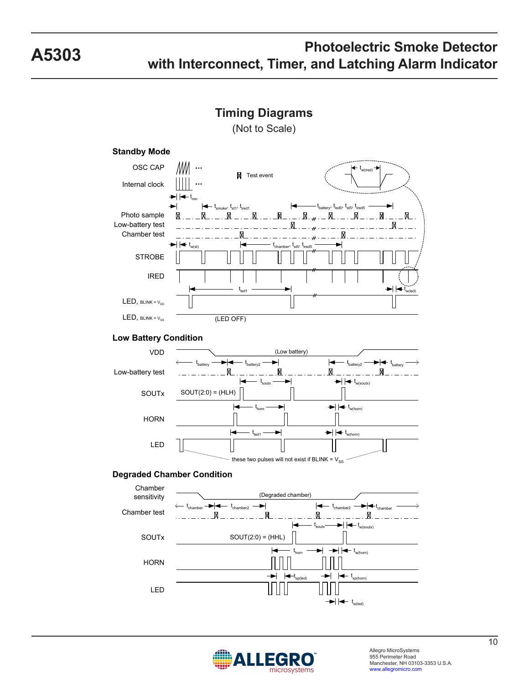



# microsystems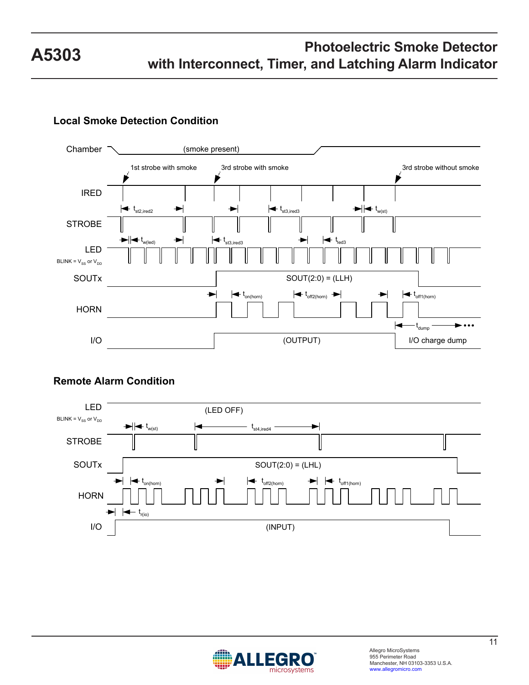### **Local Smoke Detection Condition**



#### **Remote Alarm Condition**



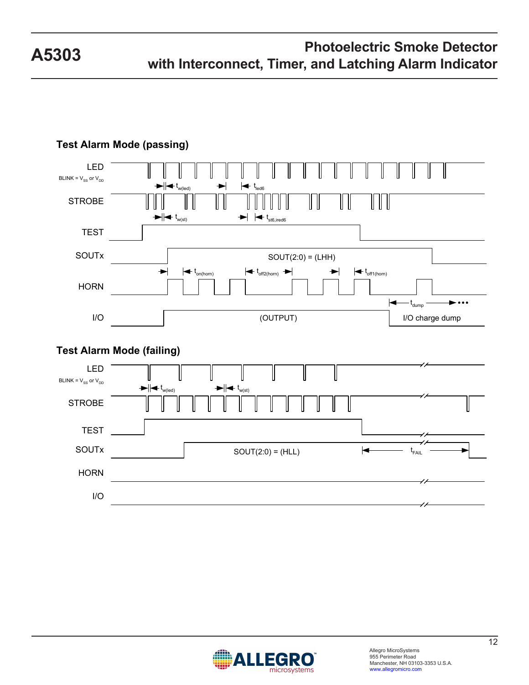



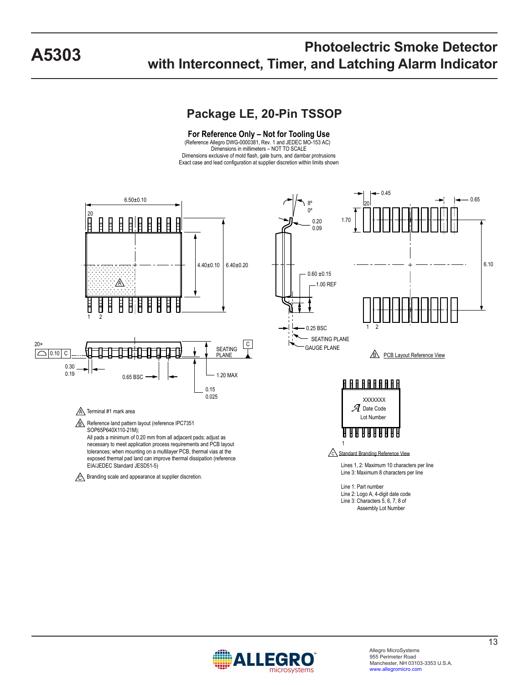### **Package LE, 20-Pin TSSOP**

**For Reference Only – Not for Tooling Use** (Reference Allegro DWG-0000381, Rev. 1 and JEDEC MO-153 AC) Dimensions in millimeters – NOT TO SCALE Dimensions exclusive of mold flash, gate burrs, and dambar protrusions Exact case and lead configuration at supplier discretion within limits shown